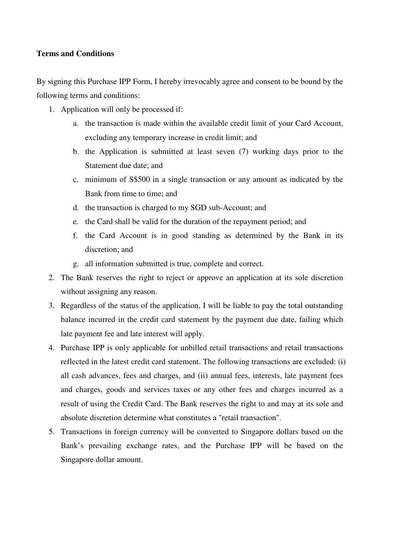## **Terms and Conditions**

By signing this Purchase IPP Form, I hereby irrevocably agree and consent to be bound by the following terms and conditions:

- 1. Application will only be processed if:
	- a. the transaction is made within the available credit limit of your Card Account, excluding any temporary increase in credit limit; and
	- b. the Application is submitted at least seven (7) working days prior to the Statement due date; and
	- c. minimum of S\$500 in a single transaction or any amount as indicated by the Bank from time to time; and
	- d. the transaction is charged to my SGD sub-Account; and
	- e. the Card shall be valid for the duration of the repayment period; and
	- f. the Card Account is in good standing as determined by the Bank in its discretion; and
	- g. all information submitted is true, complete and correct.
- 2. The Bank reserves the right to reject or approve an application at its sole discretion without assigning any reason.
- 3. Regardless of the status of the application, I will be liable to pay the total outstanding balance incurred in the credit card statement by the payment due date, failing which late payment fee and late interest will apply.
- 4. Purchase IPP is only applicable for unbilled retail transactions and retail transactions reflected in the latest credit card statement. The following transactions are excluded: (i) all cash advances, fees and charges, and (ii) annual fees, interests, late payment fees and charges, goods and services taxes or any other fees and charges incurred as a result of using the Credit Card. The Bank reserves the right to and may at its sole and absolute discretion determine what constitutes a "retail transaction".
- 5. Transactions in foreign currency will be converted to Singapore dollars based on the Bank's prevailing exchange rates, and the Purchase IPP will be based on the Singapore dollar amount.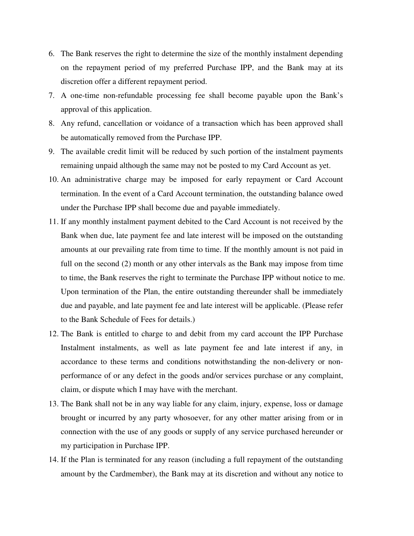- 6. The Bank reserves the right to determine the size of the monthly instalment depending on the repayment period of my preferred Purchase IPP, and the Bank may at its discretion offer a different repayment period.
- 7. A one-time non-refundable processing fee shall become payable upon the Bank's approval of this application.
- 8. Any refund, cancellation or voidance of a transaction which has been approved shall be automatically removed from the Purchase IPP.
- 9. The available credit limit will be reduced by such portion of the instalment payments remaining unpaid although the same may not be posted to my Card Account as yet.
- 10. An administrative charge may be imposed for early repayment or Card Account termination. In the event of a Card Account termination, the outstanding balance owed under the Purchase IPP shall become due and payable immediately.
- 11. If any monthly instalment payment debited to the Card Account is not received by the Bank when due, late payment fee and late interest will be imposed on the outstanding amounts at our prevailing rate from time to time. If the monthly amount is not paid in full on the second (2) month or any other intervals as the Bank may impose from time to time, the Bank reserves the right to terminate the Purchase IPP without notice to me. Upon termination of the Plan, the entire outstanding thereunder shall be immediately due and payable, and late payment fee and late interest will be applicable. (Please refer to the Bank Schedule of Fees for details.)
- 12. The Bank is entitled to charge to and debit from my card account the IPP Purchase Instalment instalments, as well as late payment fee and late interest if any, in accordance to these terms and conditions notwithstanding the non-delivery or nonperformance of or any defect in the goods and/or services purchase or any complaint, claim, or dispute which I may have with the merchant.
- 13. The Bank shall not be in any way liable for any claim, injury, expense, loss or damage brought or incurred by any party whosoever, for any other matter arising from or in connection with the use of any goods or supply of any service purchased hereunder or my participation in Purchase IPP.
- 14. If the Plan is terminated for any reason (including a full repayment of the outstanding amount by the Cardmember), the Bank may at its discretion and without any notice to